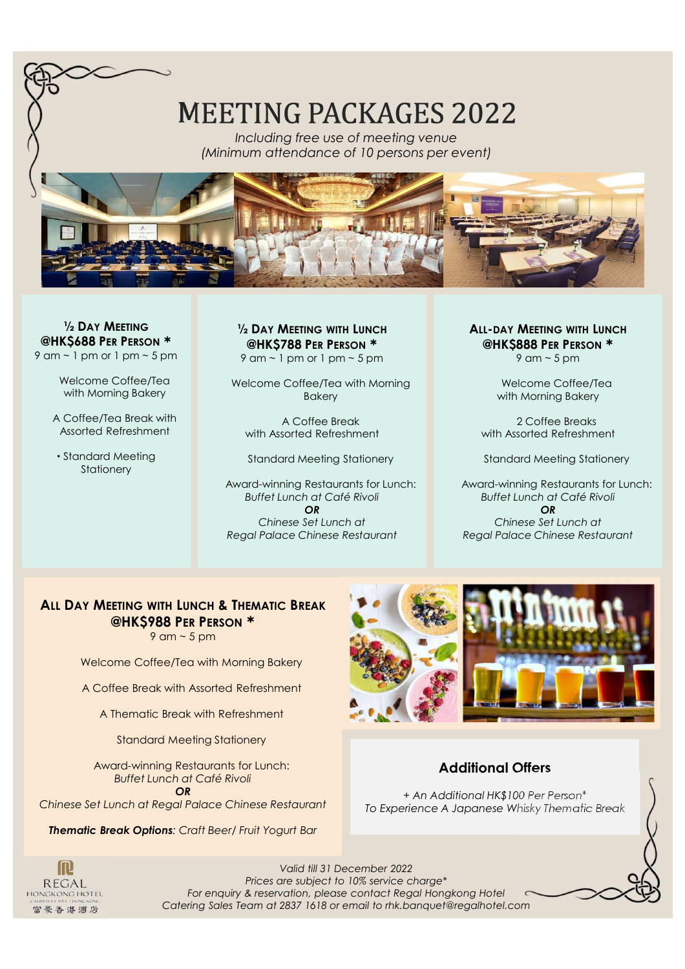

**½ DAY MEETING @HK\$688 PER PERSON**  $9$  am  $\sim$  1 pm or 1 pm  $\sim$  5 pm

> Welcome Coffee/Tea with Morning Bakery

A Coffee/Tea Break with Assorted Refreshment

 Standard Meeting **Stationery** 

**½ DAY MEETING WITH LUNCH @HK\$788 PER PERSON** 9 am  $\sim$  1 pm or 1 pm  $\sim$  5 pm

Welcome Coffee/Tea with Morning Bakery

A Coffee Break with Assorted Refreshment

Standard Meeting Stationery

Award-winning Restaurants for Lunch: *Buffet Lunch at Café Rivoli OR Chinese Set Lunch at Regal Palace Chinese Restaurant*

**ALL-DAY MEETING WITH LUNCH @HK\$888 PER PERSON**

 $9$  am  $\sim$  5 pm

Welcome Coffee/Tea with Morning Bakery

2 Coffee Breaks with Assorted Refreshment

Standard Meeting Stationery

Award-winning Restaurants for Lunch: *Buffet Lunch at Café Rivoli OR Chinese Set Lunch at Regal Palace Chinese Restaurant*

# **ALL DAY MEETING WITH LUNCH & THEMATIC BREAK @HK\$988 PER PERSON**

 $9$  am  $\sim$  5 pm

Welcome Coffee/Tea with Morning Bakery

A Coffee Break with Assorted Refreshment

A Thematic Break with Refreshment

Standard Meeting Stationery

Award-winning Restaurants for Lunch: *Buffet Lunch at Café Rivoli*

*OR*

*Chinese Set Lunch at Regal Palace Chinese Restaurant*

*Thematic Break Options: Craft Beer/ Fruit Yogurt Bar*



### **Additional Offers**

*+ An Additional HK\$100 Per Person\* To Experience A Japanese Whisky Thematic Break*

**m REGAL** HONGKONG HOTEL 富豪香港酒店

*Valid till 31 December 2022 Prices are subject to 10% service charge\* For enquiry & reservation, please contact Regal Hongkong Hotel Catering Sales Team at 2837 1618 or email to rhk.banquet@regalhotel.com*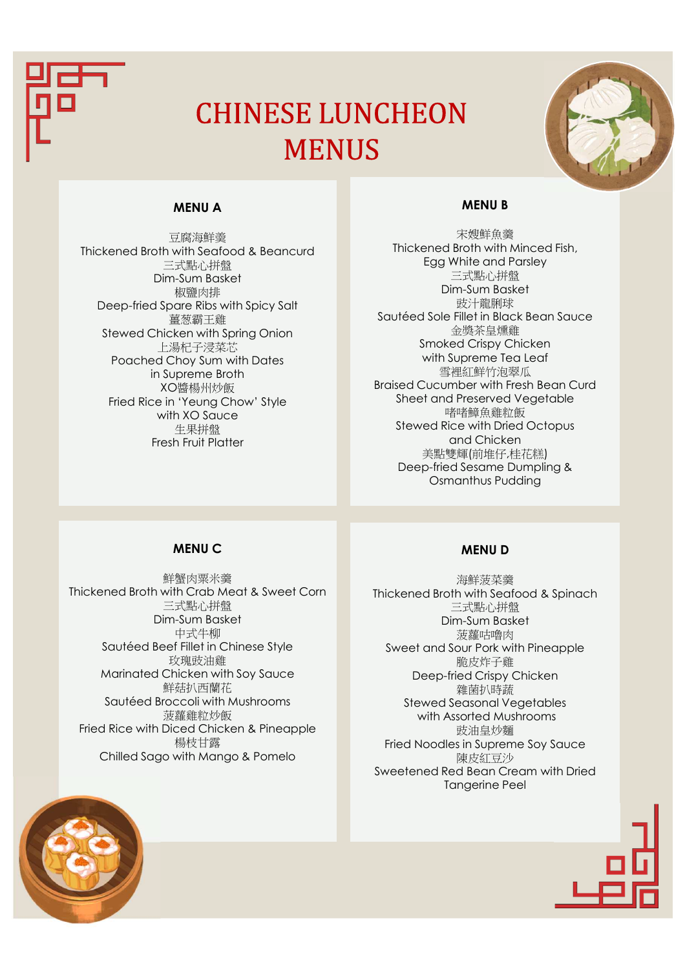

# CHINESE LUNCHEON **MENUS**



#### **MENU A**

豆腐海鮮羮 Thickened Broth with Seafood & Beancurd 三式點心拼盤 Dim-Sum Basket 椒鹽肉排 Deep-fried Spare Ribs with Spicy Salt 薑葱霸王雞 Stewed Chicken with Spring Onion 上湯杞子浸菜芯 Poached Choy Sum with Dates in Supreme Broth XO醬楊州炒飯 Fried Rice in 'Yeung Chow' Style with XO Sauce 生果拼盤 Fresh Fruit Platter

#### **MENU B**

宋嫂鮮魚羹 Thickened Broth with Minced Fish, Egg White and Parsley 三式點心拼盤 Dim-Sum Basket 豉汁龍脷球 Sautéed Sole Fillet in Black Bean Sauce 金獎茶皇燻雞 Smoked Crispy Chicken with Supreme Tea Leaf 雪裡紅鮮竹泡翠瓜 Braised Cucumber with Fresh Bean Curd Sheet and Preserved Vegetable 啫啫鱆魚雞粒飯 Stewed Rice with Dried Octopus and Chicken 美點雙輝(前堆仔,桂花糕) Deep-fried Sesame Dumpling & Osmanthus Pudding

#### **MENU C**

鮮蟹肉粟米羹 Thickened Broth with Crab Meat & Sweet Corn 三式點心拼盤 Dim-Sum Basket 中式牛柳 Sautéed Beef Fillet in Chinese Style 玫瑰豉油雞 Marinated Chicken with Soy Sauce 鮮菇扒西蘭花 Sautéed Broccoli with Mushrooms 菠蘿雞粒炒飯 Fried Rice with Diced Chicken & Pineapple 楊枝甘露 Chilled Sago with Mango & Pomelo

#### **MENU D**

海鮮菠菜羹 Thickened Broth with Seafood & Spinach 三式點心拼盤 Dim-Sum Basket 菠蘿咕嚕肉 Sweet and Sour Pork with Pineapple 脆皮炸子雞 Deep-fried Crispy Chicken 雜菌扒時蔬 Stewed Seasonal Vegetables with Assorted Mushrooms 豉油皇炒麵 Fried Noodles in Supreme Soy Sauce 陳皮紅豆沙 Sweetened Red Bean Cream with Dried Tangerine Peel

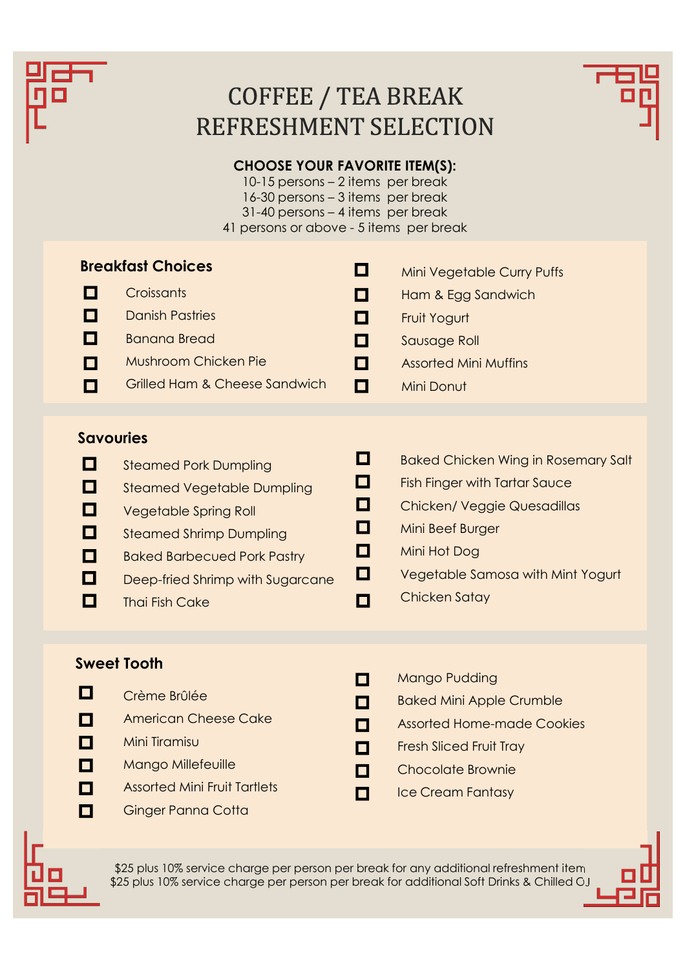

# COFFEE / TEA BREAK REFRESHMENT SELECTION



# **CHOOSE YOUR FAVORITE ITEM(S):**

10-15 persons – 2 items per break 16-30 persons – 3 items per break 31-40 persons – 4 items per break 41 persons or above - 5 items per break

| <b>Breakfast Choices</b><br>$\mathcal{L}^{\mathcal{A}}$ |                               | <b>Mini Vegetable Curry Puffs</b> |                              |
|---------------------------------------------------------|-------------------------------|-----------------------------------|------------------------------|
|                                                         | Croissants                    | <b>TELESCOPE</b>                  | Ham & Egg Sandwich           |
|                                                         | <b>Danish Pastries</b>        | <b>The Second Second</b>          | Fruit Yogurt                 |
|                                                         | <b>Banana Bread</b>           |                                   | Sausage Roll                 |
|                                                         | <b>Mushroom Chicken Pie</b>   |                                   | <b>Assorted Mini Muffins</b> |
|                                                         | Grilled Ham & Cheese Sandwich | ш                                 | Mini Donut                   |
|                                                         |                               |                                   |                              |

# **Savouries**

| $\Box$           | <b>Steamed Pork Dumpling</b>       | П | <b>Baked Chicken Wing in Rosemary Salt</b> |
|------------------|------------------------------------|---|--------------------------------------------|
| $\Box$           | <b>Steamed Vegetable Dumpling</b>  |   | <b>Fish Finger with Tartar Sauce</b>       |
| <b>TELESCOPE</b> | <b>Vegetable Spring Roll</b>       | П | <b>Chicken/ Veggie Quesadillas</b>         |
| О                | <b>Steamed Shrimp Dumpling</b>     | П | Mini Beef Burger                           |
| $\Box$           | <b>Baked Barbecued Pork Pastry</b> | ш | Mini Hot Dog                               |
|                  | Deep-fried Shrimp with Sugarcane   | О | Vegetable Samosa with Mint Yogurt          |
|                  | <b>Thai Fish Cake</b>              |   | <b>Chicken Satay</b>                       |
|                  |                                    |   |                                            |

### **Sweet Tooth**

- $\Box$ 
	- Crème Brûlée
- $\Box$ American Cheese Cake
- $\blacksquare$ Mini Tiramisu
- $\mathbf{\mathsf{m}}$ Mango Millefeuille
- $\blacksquare$ Assorted Mini Fruit Tartlets
- $\blacksquare$ Ginger Panna Cotta
- $\Box$ Mango Pudding
- $\blacksquare$ Baked Mini Apple Crumble
- П Assorted Home-made Cookies
- $\Box$ Fresh Sliced Fruit Tray
- $\Box$ Chocolate Brownie
- $\blacksquare$ Ice Cream Fantasy



\$25 plus 10% service charge per person per break for any additional refreshment item \$25 plus 10% service charge per person per break for additional Soft Drinks & Chilled OJ